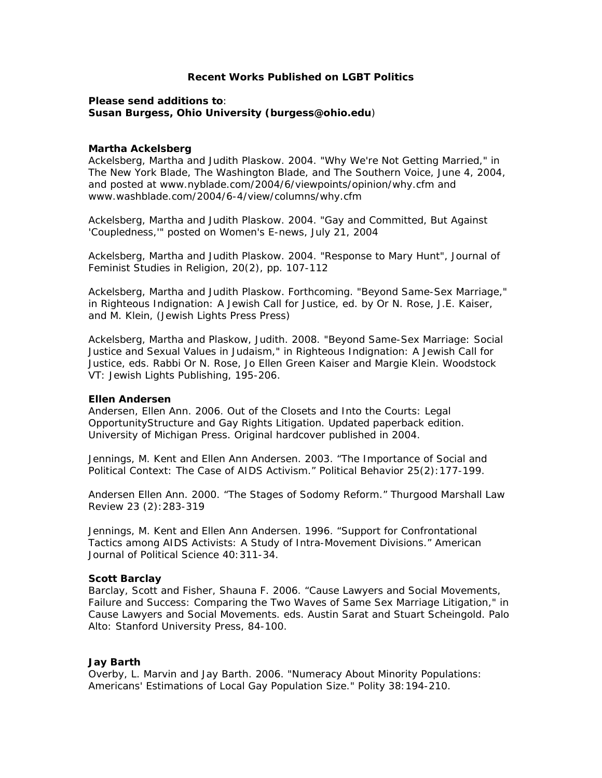# **Recent Works Published on LGBT Politics**

# **Please send additions to**: **Susan Burgess, Ohio University (burgess@ohio.edu**)

### **Martha Ackelsberg**

Ackelsberg, Martha and Judith Plaskow. 2004. "Why We're Not Getting Married," in The New York Blade, The Washington Blade, and The Southern Voice, June 4, 2004, and posted at www.nyblade.com/2004/6/viewpoints/opinion/why.cfm and www.washblade.com/2004/6-4/view/columns/why.cfm

Ackelsberg, Martha and Judith Plaskow. 2004. "Gay and Committed, But Against 'Coupledness,'" posted on Women's E-news, July 21, 2004

Ackelsberg, Martha and Judith Plaskow. 2004. "Response to Mary Hunt", Journal of Feminist Studies in Religion, 20(2), pp. 107-112

Ackelsberg, Martha and Judith Plaskow. Forthcoming. "Beyond Same-Sex Marriage," in Righteous Indignation: A Jewish Call for Justice, ed. by Or N. Rose, J.E. Kaiser, and M. Klein, (Jewish Lights Press Press)

Ackelsberg, Martha and Plaskow, Judith. 2008. "Beyond Same-Sex Marriage: Social Justice and Sexual Values in Judaism," in *Righteous Indignation: A Jewish Call for Justice*, eds. Rabbi Or N. Rose, Jo Ellen Green Kaiser and Margie Klein. Woodstock VT: Jewish Lights Publishing, 195-206.

# **Ellen Andersen**

Andersen, Ellen Ann. 2006. *Out of the Closets and Into the Courts: Legal OpportunityStructure and Gay Rights Litigation*. Updated paperback edition. University of Michigan Press. Original hardcover published in 2004.

Jennings, M. Kent and Ellen Ann Andersen. 2003. "The Importance of Social and Political Context: The Case of AIDS Activism." *Political Behavior* 25(2):177-199.

Andersen Ellen Ann. 2000. "The Stages of Sodomy Reform." *Thurgood Marshall Law Review* 23 (2):283-319

Jennings, M. Kent and Ellen Ann Andersen. 1996. "Support for Confrontational Tactics among AIDS Activists: A Study of Intra-Movement Divisions." *American Journal of Political Science* 40:311-34.

# **Scott Barclay**

Barclay, Scott and Fisher, Shauna F. 2006. "Cause Lawyers and Social Movements, Failure and Success: Comparing the Two Waves of Same Sex Marriage Litigation," in *Cause Lawyers and Social Movements*. eds. Austin Sarat and Stuart Scheingold. Palo Alto: Stanford University Press, 84-100.

# **Jay Barth**

Overby, L. Marvin and Jay Barth. 2006. "Numeracy About Minority Populations: Americans' Estimations of Local Gay Population Size." Polity 38:194-210.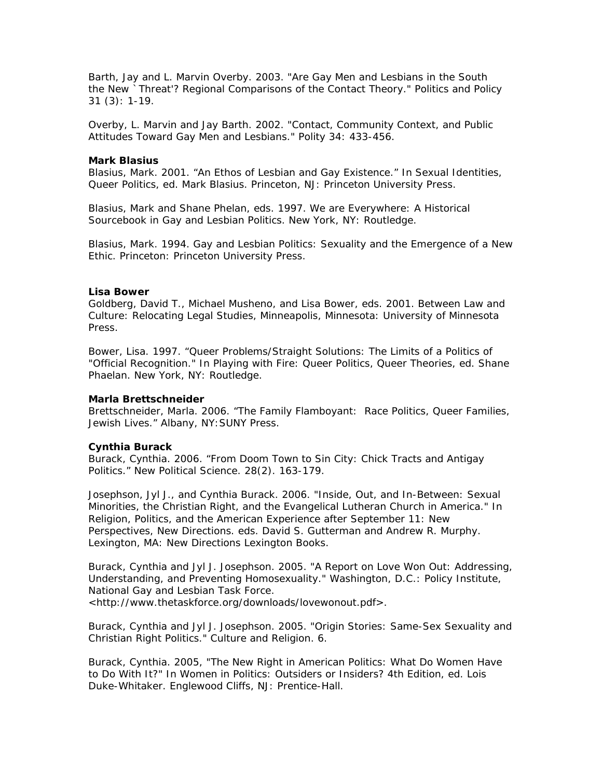Barth, Jay and L. Marvin Overby. 2003. "Are Gay Men and Lesbians in the South the New `Threat'? Regional Comparisons of the Contact Theory." Politics and Policy 31 (3): 1-19.

Overby, L. Marvin and Jay Barth. 2002. "Contact, Community Context, and Public Attitudes Toward Gay Men and Lesbians." Polity 34: 433-456.

### **Mark Blasius**

Blasius, Mark. 2001. "An Ethos of Lesbian and Gay Existence." In *Sexual Identities, Queer Politics,* ed. Mark Blasius. Princeton, NJ: Princeton University Press.

Blasius, Mark and Shane Phelan, eds. 1997. *We are Everywhere: A Historical Sourcebook in Gay and Lesbian Politics*. New York, NY: Routledge.

Blasius, Mark. 1994. *Gay and Lesbian Politics: Sexuality and the Emergence of a New Ethic.* Princeton: Princeton University Press.

### **Lisa Bower**

Goldberg, David T., Michael Musheno, and Lisa Bower, eds. 2001. *Between Law and Culture: Relocating Legal Studies*, Minneapolis, Minnesota: University of Minnesota Press.

Bower, Lisa. 1997. "Queer Problems/Straight Solutions: The Limits of a Politics of "Official Recognition." In *Playing with Fire: Queer Politics, Queer Theories*, ed. Shane Phaelan. New York, NY: Routledge.

### **Marla Brettschneider**

Brettschneider, Marla. 2006. "The Family Flamboyant: Race Politics, Queer Families, Jewish Lives." Albany, NY:SUNY Press.

# **Cynthia Burack**

Burack, Cynthia. 2006. "From Doom Town to Sin City: Chick Tracts and Antigay Politics." New Political Science. 28(2). 163-179.

Josephson, Jyl J., and Cynthia Burack. 2006. "Inside, Out, and In-Between: Sexual Minorities, the Christian Right, and the Evangelical Lutheran Church in America." In *Religion, Politics, and the American Experience after September 11: New Perspectives, New Directions*. eds. David S. Gutterman and Andrew R. Murphy. Lexington, MA: New Directions Lexington Books.

Burack, Cynthia and Jyl J. Josephson. 2005. "A Report on Love Won Out: Addressing, Understanding, and Preventing Homosexuality." Washington, D.C.: Policy Institute, National Gay and Lesbian Task Force. <http://www.thetaskforce.org/downloads/lovewonout.pdf>.

Burack, Cynthia and Jyl J. Josephson. 2005. "Origin Stories: Same-Sex Sexuality and Christian Right Politics." *Culture and Religion*. 6.

Burack, Cynthia. 2005, "The New Right in American Politics: What Do Women Have to Do With It?" In *Women in Politics: Outsiders or Insiders? 4th Edition*, ed. Lois Duke-Whitaker. Englewood Cliffs, NJ: Prentice-Hall.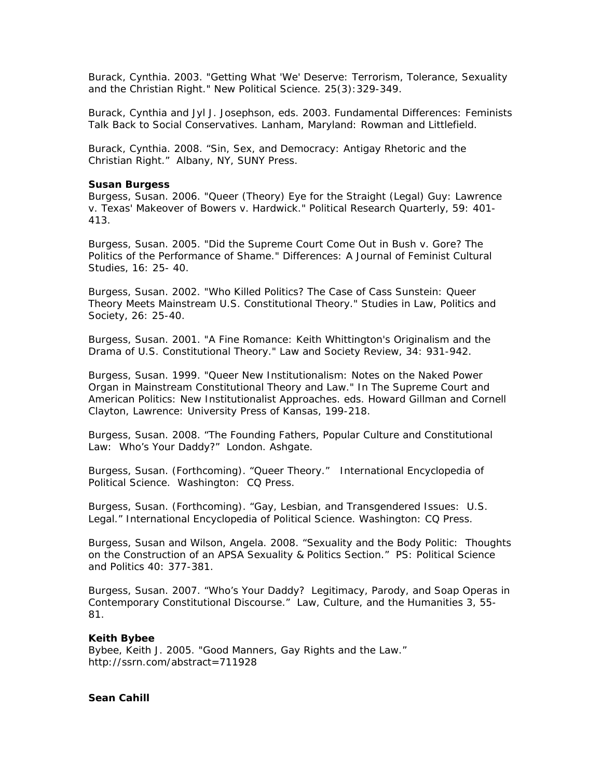Burack, Cynthia. 2003. "Getting What 'We' Deserve: Terrorism, Tolerance, Sexuality and the Christian Right." *New Political Science*. 25(3):329-349.

Burack, Cynthia and Jyl J. Josephson, eds. 2003. *Fundamental Differences: Feminists Talk Back to Social Conservatives*. Lanham, Maryland: Rowman and Littlefield.

Burack, Cynthia. 2008. "Sin, Sex, and Democracy: Antigay Rhetoric and the Christian Right." Albany, NY, SUNY Press.

### **Susan Burgess**

Burgess, Susan. 2006. "Queer (Theory) Eye for the Straight (Legal) Guy: Lawrence v. Texas' Makeover of Bowers v. Hardwick." *Political Research Quarterly*, 59: 401- 413.

Burgess, Susan. 2005. "Did the Supreme Court Come Out in Bush v. Gore? The Politics of the Performance of Shame." *Differences: A Journal of Feminist Cultural Studies*, 16: 25- 40.

Burgess, Susan. 2002. "Who Killed Politics? The Case of Cass Sunstein: Queer Theory Meets Mainstream U.S. Constitutional Theory." *Studies in Law, Politics and Society*, 26: 25-40.

Burgess, Susan. 2001. "A Fine Romance: Keith Whittington's Originalism and the Drama of U.S. Constitutional Theory." *Law and Society Review*, 34: 931-942.

Burgess, Susan. 1999. "Queer New Institutionalism: Notes on the Naked Power Organ in Mainstream Constitutional Theory and Law." In *The Supreme Court and American Politics: New Institutionalist Approaches*. eds. Howard Gillman and Cornell Clayton, Lawrence: University Press of Kansas, 199-218.

Burgess, Susan. 2008. "The Founding Fathers, Popular Culture and Constitutional Law: Who's Your Daddy?" London. Ashgate.

Burgess, Susan. (Forthcoming). "Queer Theory." *International Encyclopedia of Political Science*. Washington: CQ Press.

Burgess, Susan. (Forthcoming). "Gay, Lesbian, and Transgendered Issues: U.S. Legal." *International Encyclopedia of Political Science*. Washington: CQ Press.

Burgess, Susan and Wilson, Angela. 2008. "Sexuality and the Body Politic: Thoughts on the Construction of an APSA Sexuality & Politics Section." *PS: Political Science and Politics* 40: 377-381.

Burgess, Susan. 2007. "Who's Your Daddy? Legitimacy, Parody, and Soap Operas in Contemporary Constitutional Discourse." *Law, Culture, and the Humanities* 3, 55- 81.

# **Keith Bybee**

Bybee, Keith J. 2005. "Good Manners, Gay Rights and the Law." http://ssrn.com/abstract=711928

# **Sean Cahill**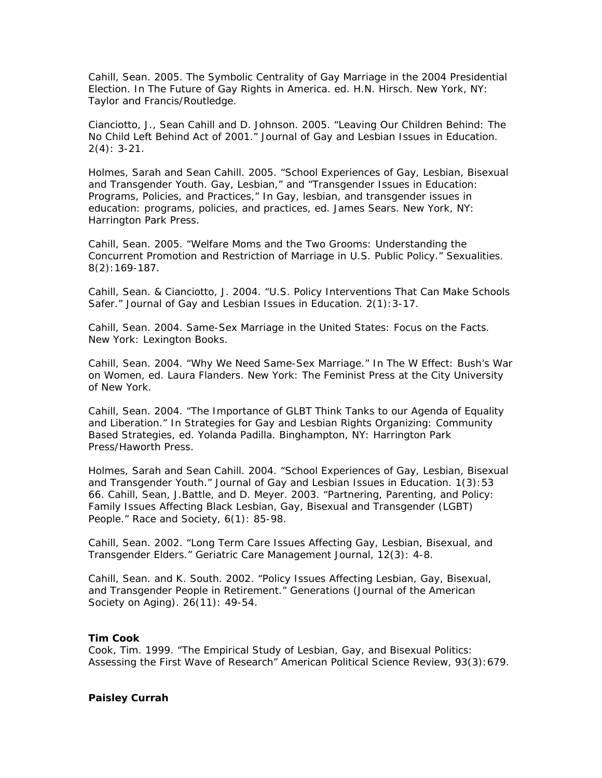Cahill, Sean. 2005. The Symbolic Centrality of Gay Marriage in the 2004 Presidential Election. In *The Future of Gay Rights in America*. ed. H.N. Hirsch. New York, NY: Taylor and Francis/Routledge.

Cianciotto, J., Sean Cahill and D. Johnson. 2005. "Leaving Our Children Behind: The No Child Left Behind Act of 2001." *Journal of Gay and Lesbian Issues in Education*. 2(4): 3-21.

Holmes, Sarah and Sean Cahill. 2005. "School Experiences of Gay, Lesbian, Bisexual and Transgender Youth. Gay, Lesbian," and "Transgender Issues in Education: Programs, Policies, and Practices," In *Gay, lesbian, and transgender issues in education: programs, policies, and practices*, ed. James Sears. New York, NY: Harrington Park Press.

Cahill, Sean. 2005. "Welfare Moms and the Two Grooms: Understanding the Concurrent Promotion and Restriction of Marriage in U.S. Public Policy." *Sexualities.*  8(2):169-187.

Cahill, Sean. & Cianciotto, J. 2004. "U.S. Policy Interventions That Can Make Schools Safer." *Journal of Gay and Lesbian Issues in Education*. 2(1):3-17.

Cahill, Sean. 2004. *Same-Sex Marriage in the United States: Focus on the Facts*. New York: Lexington Books.

Cahill, Sean. 2004. "Why We Need Same-Sex Marriage." In *The W Effect: Bush's War on Women,* ed. Laura Flanders. New York: The Feminist Press at the City University of New York.

Cahill, Sean. 2004. "The Importance of GLBT Think Tanks to our Agenda of Equality and Liberation." In *Strategies for Gay and Lesbian Rights Organizing: Community Based Strategies*, ed. Yolanda Padilla. Binghampton, NY: Harrington Park Press/Haworth Press.

Holmes, Sarah and Sean Cahill. 2004. "School Experiences of Gay, Lesbian, Bisexual and Transgender Youth." *Journal of Gay and Lesbian Issues in Education*. 1(3):53 66. Cahill, Sean, J.Battle, and D. Meyer. 2003. "Partnering, Parenting, and Policy: Family Issues Affecting Black Lesbian, Gay, Bisexual and Transgender (LGBT) People." *Race and Society*, 6(1): 85-98.

Cahill, Sean. 2002. "Long Term Care Issues Affecting Gay, Lesbian, Bisexual, and Transgender Elders." *Geriatric Care Management Journal*, 12(3): 4-8.

Cahill, Sean. and K. South. 2002. "Policy Issues Affecting Lesbian, Gay, Bisexual, and Transgender People in Retirement." *Generations (Journal of the American Society on Aging).* 26(11): 49-54.

# **Tim Cook**

Cook, Tim. 1999. "The Empirical Study of Lesbian, Gay, and Bisexual Politics: Assessing the First Wave of Research" *American Political Science Review*, 93(3):679.

# **Paisley Currah**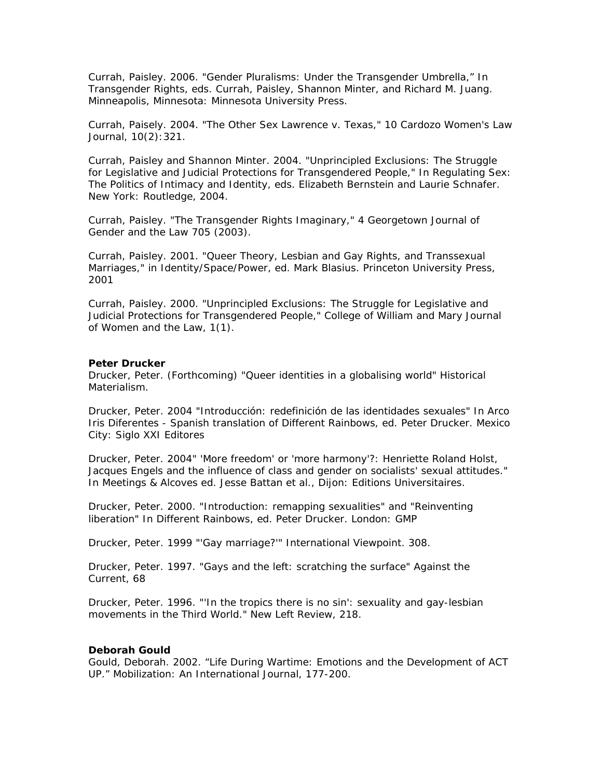Currah, Paisley. 2006. "Gender Pluralisms: Under the Transgender Umbrella," In *Transgender Rights,* eds. Currah, Paisley, Shannon Minter, and Richard M. Juang. Minneapolis, Minnesota: Minnesota University Press.

Currah, Paisely. 2004. "The Other Sex Lawrence v. Texas," *10 Cardozo Women's Law Journal*, 10(2):321.

Currah, Paisley and Shannon Minter. 2004. "Unprincipled Exclusions: The Struggle for Legislative and Judicial Protections for Transgendered People," In *Regulating Sex: The Politics of Intimacy and Identity*, eds. Elizabeth Bernstein and Laurie Schnafer. New York: Routledge, 2004.

Currah, Paisley. "The Transgender Rights Imaginary," 4 Georgetown Journal of Gender and the Law 705 (2003).

Currah, Paisley. 2001. "Queer Theory, Lesbian and Gay Rights, and Transsexual Marriages," in Identity/Space/Power, ed. Mark Blasius. Princeton University Press, 2001

Currah, Paisley. 2000. "Unprincipled Exclusions: The Struggle for Legislative and Judicial Protections for Transgendered People," *College of William and Mary Journal of Women and the Law,* 1(1).

#### **Peter Drucker**

Drucker, Peter. (Forthcoming) "Queer identities in a globalising world" *Historical Materialism*.

Drucker, Peter. 2004 "Introducción: redefinición de las identidades sexuales" In *Arco Iris Diferentes - Spanish translation of Different Rainbows*, ed. Peter Drucker. Mexico City: Siglo XXI Editores

Drucker, Peter. 2004" 'More freedom' or 'more harmony'?: Henriette Roland Holst, Jacques Engels and the influence of class and gender on socialists' sexual attitudes." In *Meetings & Alcoves* ed. Jesse Battan et al., Dijon: Editions Universitaires.

Drucker, Peter. 2000. "Introduction: remapping sexualities" and "Reinventing liberation" In *Different Rainbows,* ed. Peter Drucker. London: GMP

Drucker, Peter. 1999 "'Gay marriage?'" *International Viewpoint.* 308.

Drucker, Peter. 1997. "Gays and the left: scratching the surface" *Against the Current*, 68

Drucker, Peter. 1996. "'In the tropics there is no sin': sexuality and gay-lesbian movements in the Third World." *New Left Review*, 218.

#### **Deborah Gould**

Gould, Deborah. 2002. "Life During Wartime: Emotions and the Development of ACT UP." *Mobilization: An International Journal*, 177-200.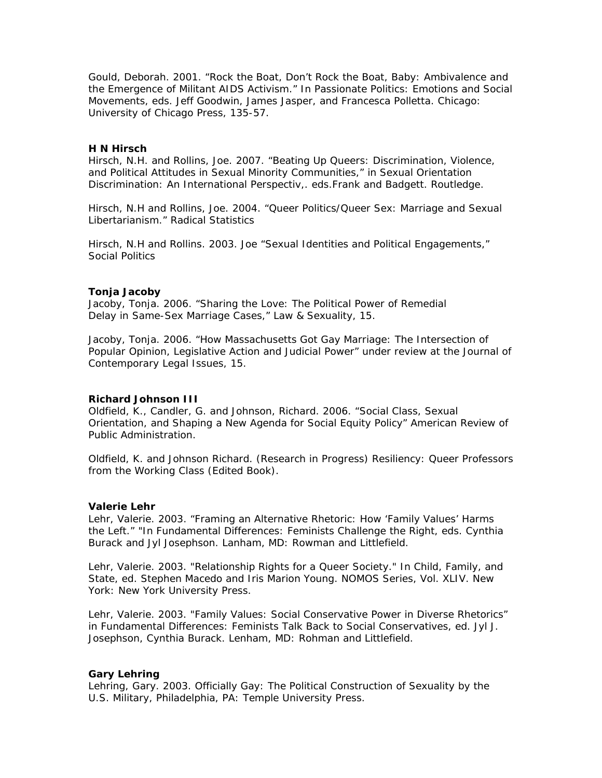Gould, Deborah. 2001. "Rock the Boat, Don't Rock the Boat, Baby: Ambivalence and the Emergence of Militant AIDS Activism." In *Passionate Politics: Emotions and Social Movements,* eds. Jeff Goodwin, James Jasper, and Francesca Polletta. Chicago: University of Chicago Press, 135-57.

### **H N Hirsch**

Hirsch, N.H. and Rollins, Joe. 2007. "Beating Up Queers: Discrimination, Violence, and Political Attitudes in Sexual Minority Communities," in *Sexual Orientation Discrimination: An International Perspectiv,.* eds.Frank and Badgett. Routledge.

Hirsch, N.H and Rollins, Joe. 2004. "Queer Politics/Queer Sex: Marriage and Sexual Libertarianism." *Radical Statistics*

Hirsch, N.H and Rollins. 2003. Joe "Sexual Identities and Political Engagements," *Social Politics*

### **Tonja Jacoby**

Jacoby, Tonja. 2006. "Sharing the Love: The Political Power of Remedial Delay in Same-Sex Marriage Cases," *Law & Sexuality*, 15.

Jacoby, Tonja. 2006. "How Massachusetts Got Gay Marriage: The Intersection of Popular Opinion, Legislative Action and Judicial Power" under review at *the Journal of Contemporary Legal Issues*, 15.

# **Richard Johnson III**

Oldfield, K., Candler, G. and Johnson, Richard. 2006. "Social Class, Sexual Orientation, and Shaping a New Agenda for Social Equity Policy" *American Review of Public Administration*.

Oldfield, K. and Johnson Richard. (Research in Progress) *Resiliency: Queer Professors from the Working Class* (Edited Book).

### **Valerie Lehr**

Lehr, Valerie. 2003. "Framing an Alternative Rhetoric: How 'Family Values' Harms the Left." "In *Fundamental Differences: Feminists Challenge the Right*, eds. Cynthia Burack and Jyl Josephson. Lanham, MD: Rowman and Littlefield.

Lehr, Valerie. 2003. "Relationship Rights for a Queer Society." In *Child, Family, and State*, ed. Stephen Macedo and Iris Marion Young. NOMOS Series, Vol. XLIV. New York: New York University Press.

Lehr, Valerie. 2003. "Family Values: Social Conservative Power in Diverse Rhetorics" in *Fundamental Differences: Feminists Talk Back to Social Conservatives*, ed. Jyl J. Josephson, Cynthia Burack. Lenham, MD: Rohman and Littlefield.

# **Gary Lehring**

Lehring, Gary. 2003. *Officially Gay: The Political Construction of Sexuality by the U.S. Military*, Philadelphia, PA: Temple University Press.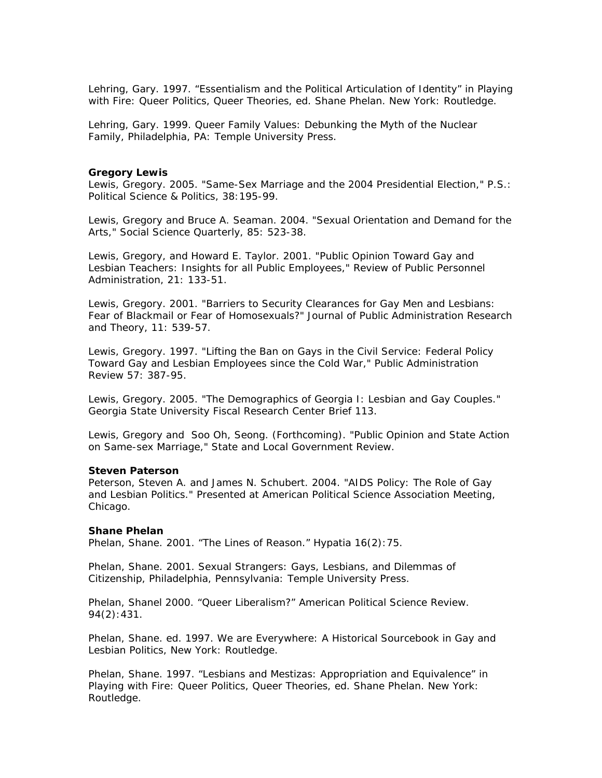Lehring, Gary. 1997. "Essentialism and the Political Articulation of Identity" in *Playing with Fire: Queer Politics, Queer Theories*, ed. Shane Phelan. New York: Routledge.

Lehring, Gary. 1999. *Queer Family Values: Debunking the Myth of the Nuclear Family*, Philadelphia, PA: Temple University Press.

### **Gregory Lewis**

Lewis, Gregory. 2005. "Same-Sex Marriage and the 2004 Presidential Election," *P.S.: Political Science & Politics*, 38:195-99.

Lewis, Gregory and Bruce A. Seaman. 2004. "Sexual Orientation and Demand for the Arts," *Social Science Quarterly*, 85: 523-38.

Lewis, Gregory, and Howard E. Taylor. 2001. "Public Opinion Toward Gay and Lesbian Teachers: Insights for all Public Employees," *Review of Public Personnel Administration,* 21: 133-51.

Lewis, Gregory. 2001. "Barriers to Security Clearances for Gay Men and Lesbians: Fear of Blackmail or Fear of Homosexuals?" *Journal of Public Administration Research and Theory*, 11: 539-57.

Lewis, Gregory. 1997. "Lifting the Ban on Gays in the Civil Service: Federal Policy Toward Gay and Lesbian Employees since the Cold War," *Public Administration Review* 57: 387-95.

Lewis, Gregory. 2005. "The Demographics of Georgia I: Lesbian and Gay Couples." Georgia State University Fiscal Research Center Brief 113.

Lewis, Gregory and Soo Oh, Seong. (Forthcoming). "Public Opinion and State Action on Same-sex Marriage," *State and Local Government Review.*

#### **Steven Paterson**

Peterson, Steven A. and James N. Schubert. 2004. "AIDS Policy: The Role of Gay and Lesbian Politics." Presented at American Political Science Association Meeting, Chicago.

### **Shane Phelan**

Phelan, Shane. 2001. "The Lines of Reason." *Hypatia* 16(2):75.

Phelan, Shane. 2001. *Sexual Strangers: Gays, Lesbians, and Dilemmas of Citizenship*, Philadelphia, Pennsylvania: Temple University Press.

Phelan, Shanel 2000. "Queer Liberalism?" *American Political Science Review*. 94(2):431.

Phelan, Shane. ed. 1997. *We are Everywhere: A Historical Sourcebook in Gay and Lesbian Politics*, New York: Routledge.

Phelan, Shane. 1997. "Lesbians and Mestizas: Appropriation and Equivalence" in *Playing with Fire: Queer Politics, Queer Theories*, ed. Shane Phelan. New York: Routledge.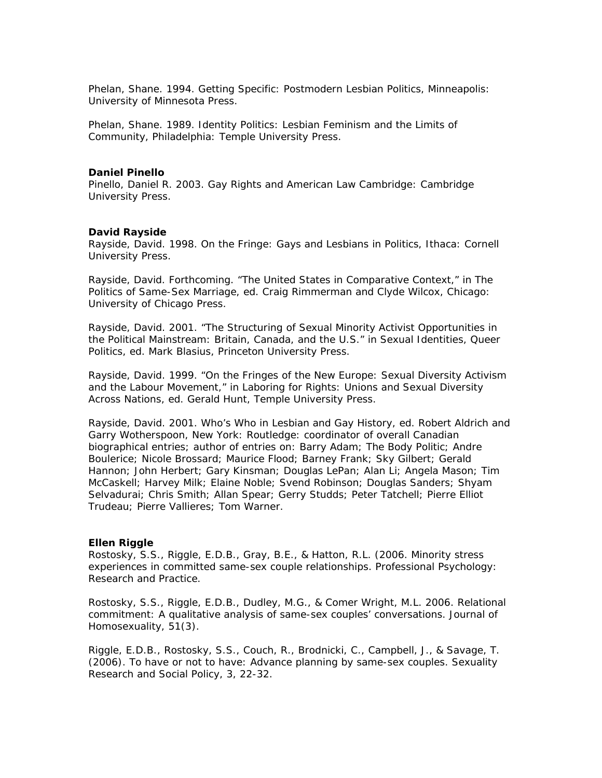Phelan, Shane. 1994. *Getting Specific: Postmodern Lesbian Politics,* Minneapolis: University of Minnesota Press.

Phelan, Shane. 1989. *Identity Politics: Lesbian Feminism and the Limits of Community,* Philadelphia: Temple University Press.

# **Daniel Pinello**

Pinello, Daniel R. 2003. *Gay Rights and American Law* Cambridge: Cambridge University Press.

### **David Rayside**

Rayside, David. 1998*. On the Fringe: Gays and Lesbians in Politics*, Ithaca: Cornell University Press.

Rayside, David. Forthcoming. "The United States in Comparative Context," in *The Politics of Same-Sex Marriage*, ed. Craig Rimmerman and Clyde Wilcox, Chicago: University of Chicago Press.

Rayside, David. 2001. "The Structuring of Sexual Minority Activist Opportunities in the Political Mainstream: Britain, Canada, and the U.S." in *Sexual Identities, Queer Politics*, ed. Mark Blasius, Princeton University Press.

Rayside, David. 1999. "On the Fringes of the New Europe: Sexual Diversity Activism and the Labour Movement," in *Laboring for Rights: Unions and Sexual Diversity Across Nations*, ed. Gerald Hunt, Temple University Press.

Rayside, David. 2001. Who's Who in Lesbian and Gay History, ed. Robert Aldrich and Garry Wotherspoon, New York: Routledge: coordinator of overall Canadian biographical entries; author of entries on: Barry Adam; The Body Politic; Andre Boulerice; Nicole Brossard; Maurice Flood; Barney Frank; Sky Gilbert; Gerald Hannon; John Herbert; Gary Kinsman; Douglas LePan; Alan Li; Angela Mason; Tim McCaskell; Harvey Milk; Elaine Noble; Svend Robinson; Douglas Sanders; Shyam Selvadurai; Chris Smith; Allan Spear; Gerry Studds; Peter Tatchell; Pierre Elliot Trudeau; Pierre Vallieres; Tom Warner.

### **Ellen Riggle**

Rostosky, S.S., Riggle, E.D.B., Gray, B.E., & Hatton, R.L. (2006. Minority stress experiences in committed same-sex couple relationships. *Professional Psychology: Research and Practice*.

Rostosky, S.S., Riggle, E.D.B., Dudley, M.G., & Comer Wright, M.L. 2006. Relational commitment: A qualitative analysis of same-sex couples' conversations. *Journal of Homosexuality*, 51(3).

Riggle, E.D.B., Rostosky, S.S., Couch, R., Brodnicki, C., Campbell, J., & Savage, T. (2006). To have or not to have: Advance planning by same-sex couples. *Sexuality Research and Social Policy, 3*, 22-32.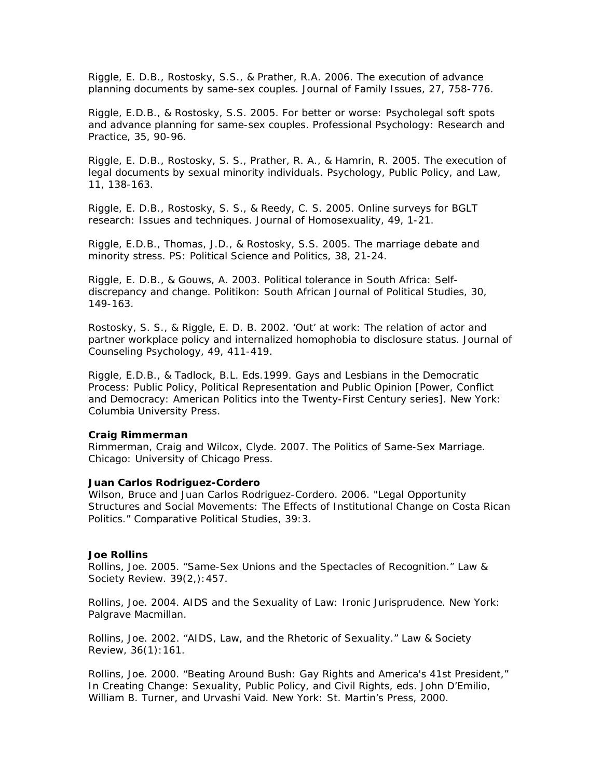Riggle, E. D.B., Rostosky, S.S., & Prather, R.A. 2006. The execution of advance planning documents by same-sex couples. *Journal of Family Issues, 27,* 758-776.

Riggle, E.D.B., & Rostosky, S.S. 2005. For better or worse: Psycholegal soft spots and advance planning for same-sex couples. *Professional Psychology: Research and Practice, 35*, 90-96.

Riggle, E. D.B., Rostosky, S. S., Prather, R. A., & Hamrin, R. 2005. The execution of legal documents by sexual minority individuals. *Psychology, Public Policy, and Law,*  11, 138-163*.* 

Riggle, E. D.B., Rostosky, S. S., & Reedy, C. S. 2005. Online surveys for BGLT research: Issues and techniques. *Journal of Homosexuality,* 49, 1-21.

Riggle, E.D.B., Thomas, J.D., & Rostosky, S.S. 2005. The marriage debate and minority stress. *PS: Political Science and Politics,* 38, 21-24.

Riggle, E. D.B., & Gouws, A. 2003. Political tolerance in South Africa: Selfdiscrepancy and change. *Politikon: South African Journal of Political Studies*, 30, 149-163.

Rostosky, S. S., & Riggle, E. D. B. 2002. 'Out' at work: The relation of actor and partner workplace policy and internalized homophobia to disclosure status. *Journal of Counseling Psychology,* 49, 411-419.

Riggle, E.D.B., & Tadlock, B.L. Eds.1999. *Gays and Lesbians in the Democratic Process: Public Policy, Political Representation and Public Opinion* [*Power, Conflict and Democracy: American Politics into the Twenty-First Century* series]. New York: Columbia University Press.

### **Craig Rimmerman**

Rimmerman, Craig and Wilcox, Clyde. 2007. *The Politics of Same-Sex Marriage.* Chicago: University of Chicago Press.

### **Juan Carlos Rodriguez-Cordero**

Wilson, Bruce and Juan Carlos Rodriguez-Cordero. 2006. "Legal Opportunity Structures and Social Movements: The Effects of Institutional Change on Costa Rican Politics." *Comparative Political Studies*, 39:3.

#### **Joe Rollins**

Rollins, Joe. 2005. "Same-Sex Unions and the Spectacles of Recognition." *Law & Society Review*. 39(2,):457.

Rollins, Joe. 2004. *AIDS and the Sexuality of Law: Ironic Jurisprudence*. New York: Palgrave Macmillan.

Rollins, Joe. 2002. "AIDS, Law, and the Rhetoric of Sexuality." *Law & Society Review*, 36(1):161.

Rollins, Joe. 2000. "Beating Around Bush: Gay Rights and America's 41st President," In *Creating Change: Sexuality, Public Policy, and Civil Rights*, eds. John D'Emilio, William B. Turner, and Urvashi Vaid. New York: St. Martin's Press, 2000.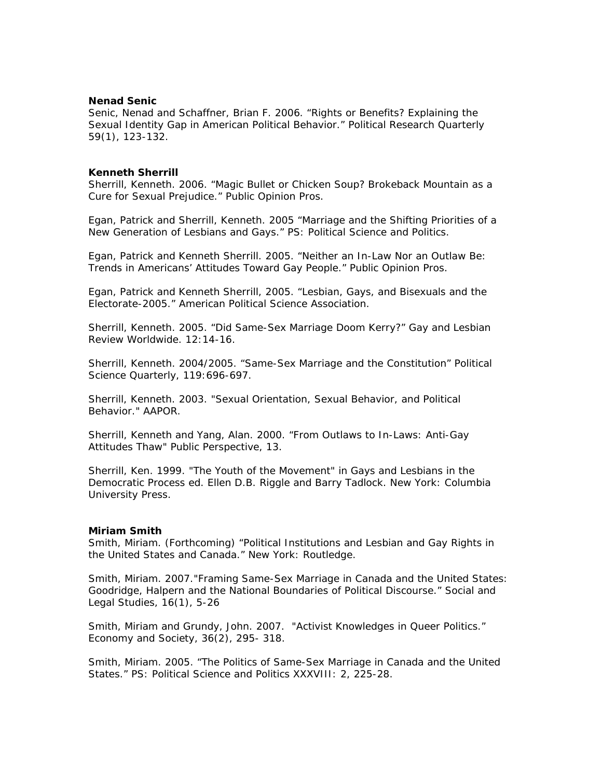### **Nenad Senic**

Senic, Nenad and Schaffner, Brian F. 2006. "Rights or Benefits? Explaining the Sexual Identity Gap in American Political Behavior." Political Research Quarterly 59(1), 123-132.

# **Kenneth Sherrill**

Sherrill, Kenneth. 2006. "Magic Bullet or Chicken Soup? Brokeback Mountain as a Cure for Sexual Prejudice." *Public Opinion Pros*.

Egan, Patrick and Sherrill, Kenneth. 2005 "Marriage and the Shifting Priorities of a New Generation of Lesbians and Gays." *PS: Political Science and Politics*.

Egan, Patrick and Kenneth Sherrill. 2005. "Neither an In-Law Nor an Outlaw Be: Trends in Americans' Attitudes Toward Gay People." *Public Opinion Pros*.

Egan, Patrick and Kenneth Sherrill, 2005. "Lesbian, Gays, and Bisexuals and the Electorate-2005." American Political Science Association.

Sherrill, Kenneth. 2005. "Did Same-Sex Marriage Doom Kerry?" *Gay and Lesbian Review Worldwide*. 12:14-16.

Sherrill, Kenneth. 2004/2005. "Same-Sex Marriage and the Constitution" *Political Science Quarterly,* 119:696-697.

Sherrill, Kenneth. 2003. "Sexual Orientation, Sexual Behavior, and Political Behavior." *AAPOR.*

Sherrill, Kenneth and Yang, Alan. 2000. "From Outlaws to In-Laws: Anti-Gay Attitudes Thaw" *Public Perspective*, 13.

Sherrill, Ken. 1999. "The Youth of the Movement" in *Gays and Lesbians in the Democratic Process* ed. Ellen D.B. Riggle and Barry Tadlock. New York: Columbia University Press.

### **Miriam Smith**

Smith, Miriam. (Forthcoming) "Political Institutions and Lesbian and Gay Rights in the United States and Canada." New York: Routledge.

Smith, Miriam. 2007."Framing Same-Sex Marriage in Canada and the United States: Goodridge, Halpern and the National Boundaries of Political Discourse." *Social and Legal Studies*, 16(1), 5-26

Smith, Miriam and Grundy, John. 2007. "Activist Knowledges in Queer Politics." *Economy and Society,* 36(2), 295- 318.

Smith, Miriam. 2005. "The Politics of Same-Sex Marriage in Canada and the United States." *PS: Political Science and Politics XXXVIII: 2*, 225-28.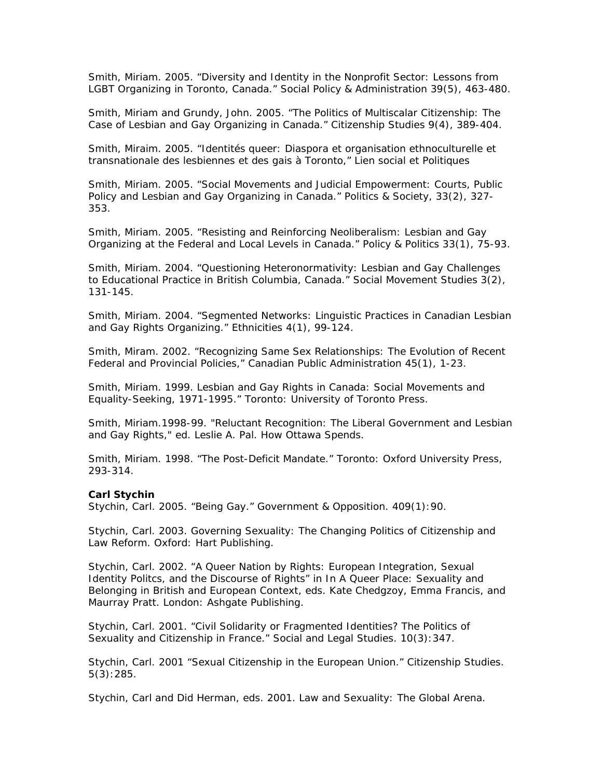Smith, Miriam. 2005. "Diversity and Identity in the Nonprofit Sector: Lessons from LGBT Organizing in Toronto, Canada." *Social Policy & Administration* 39(5), 463-480.

Smith, Miriam and Grundy, John. 2005. "The Politics of Multiscalar Citizenship: The Case of Lesbian and Gay Organizing in Canada." *Citizenship Studies* 9(4), 389-404.

Smith, Miraim. 2005. "Identités queer: Diaspora et organisation ethnoculturelle et transnationale des lesbiennes et des gais à Toronto," *Lien social et Politiques*

Smith, Miriam. 2005. "Social Movements and Judicial Empowerment: Courts, Public Policy and Lesbian and Gay Organizing in Canada." *Politics & Society,* 33(2), 327- 353.

Smith, Miriam. 2005. "Resisting and Reinforcing Neoliberalism: Lesbian and Gay Organizing at the Federal and Local Levels in Canada." *Policy & Politics* 33(1), 75-93.

Smith, Miriam. 2004. "Questioning Heteronormativity: Lesbian and Gay Challenges to Educational Practice in British Columbia, Canada." *Social Movement Studies* 3(2), 131-145.

Smith, Miriam. 2004. "Segmented Networks: Linguistic Practices in Canadian Lesbian and Gay Rights Organizing." *Ethnicities* 4(1), 99-124.

Smith, Miram. 2002. "Recognizing Same Sex Relationships: The Evolution of Recent Federal and Provincial Policies," Canadian Public Administration 45(1), 1-23.

Smith, Miriam. 1999. Lesbian and Gay Rights in Canada: Social Movements and Equality-Seeking, 1971-1995." Toronto: University of Toronto Press.

Smith, Miriam.1998-99. "Reluctant Recognition: The Liberal Government and Lesbian and Gay Rights," ed. Leslie A. Pal. How Ottawa Spends.

Smith, Miriam. 1998. "The Post-Deficit Mandate." Toronto: Oxford University Press, 293-314.

#### **Carl Stychin**

Stychin, Carl. 2005. "Being Gay." *Government & Opposition.* 409(1):90.

Stychin, Carl. 2003. *Governing Sexuality: The Changing Politics of Citizenship and Law Reform*. Oxford: Hart Publishing.

Stychin, Carl. 2002. "A Queer Nation by Rights: European Integration, Sexual Identity Politcs, and the Discourse of Rights" in In *A Queer Place: Sexuality and Belonging in British and European Context*, eds. Kate Chedgzoy, Emma Francis, and Maurray Pratt. London: Ashgate Publishing.

Stychin, Carl. 2001. "Civil Solidarity or Fragmented Identities? The Politics of Sexuality and Citizenship in France." *Social and Legal Studies*. 10(3):347.

Stychin, Carl. 2001 "Sexual Citizenship in the European Union." *Citizenship Studies*. 5(3):285.

Stychin, Carl and Did Herman, eds. 2001. *Law and Sexuality: The Global Arena*.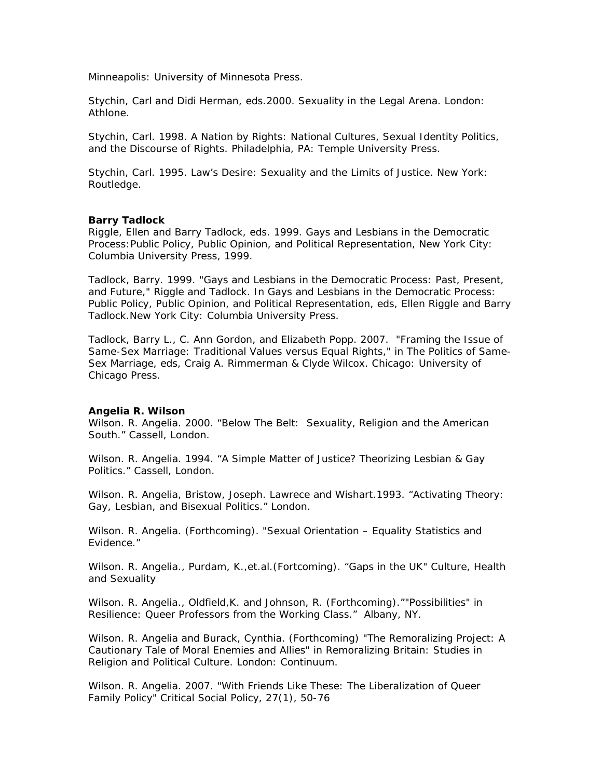Minneapolis: University of Minnesota Press.

Stychin, Carl and Didi Herman, eds.2000. *Sexuality in the Legal Arena*. London: Athlone.

Stychin, Carl. 1998. *A Nation by Rights: National Cultures, Sexual Identity Politics, and the Discourse of Rights*. Philadelphia, PA: Temple University Press.

Stychin, Carl. 1995. *Law's Desire: Sexuality and the Limits of Justice.* New York: Routledge.

# **Barry Tadlock**

Riggle, Ellen and Barry Tadlock, eds. 1999. *Gays and Lesbians in the Democratic Process:Public Policy, Public Opinion, and Political Representation*, New York City: Columbia University Press, 1999.

Tadlock, Barry. 1999. "Gays and Lesbians in the Democratic Process: Past, Present, and Future," Riggle and Tadlock. In *Gays and Lesbians in the Democratic Process: Public Policy, Public Opinion, and Political Representation*, eds, Ellen Riggle and Barry Tadlock.New York City: Columbia University Press.

Tadlock, Barry L., C. Ann Gordon, and Elizabeth Popp. 2007. "Framing the Issue of Same-Sex Marriage: Traditional Values versus Equal Rights," in *The Politics of Same-Sex Marriage*, eds, Craig A. Rimmerman & Clyde Wilcox. Chicago: University of Chicago Press.

### **Angelia R. Wilson**

Wilson. R. Angelia. 2000. "Below The Belt: Sexuality, Religion and the American South." Cassell, London.

Wilson. R. Angelia. 1994. "A Simple Matter of Justice? Theorizing Lesbian & Gay Politics." Cassell, London.

Wilson. R. Angelia, Bristow, Joseph. Lawrece and Wishart.1993. "Activating Theory: Gay, Lesbian, and Bisexual Politics." London.

Wilson. R. Angelia. (Forthcoming). "Sexual Orientation – Equality Statistics and Evidence."

Wilson. R. Angelia., Purdam, K.,et.al.(Fortcoming). "Gaps in the UK" Culture, Health and Sexuality

Wilson. R. Angelia., Oldfield, K. and Johnson, R. (Forthcoming). ""Possibilities" in Resilience: Queer Professors from the Working Class." Albany, NY.

Wilson. R. Angelia and Burack, Cynthia. (Forthcoming) "The Remoralizing Project: A Cautionary Tale of Moral Enemies and Allies" in Remoralizing Britain: *Studies in Religion and Political Culture.* London: Continuum.

Wilson. R. Angelia. 2007. "With Friends Like These: The Liberalization of Queer Family Policy" *Critical Social Policy*, 27(1), 50-76